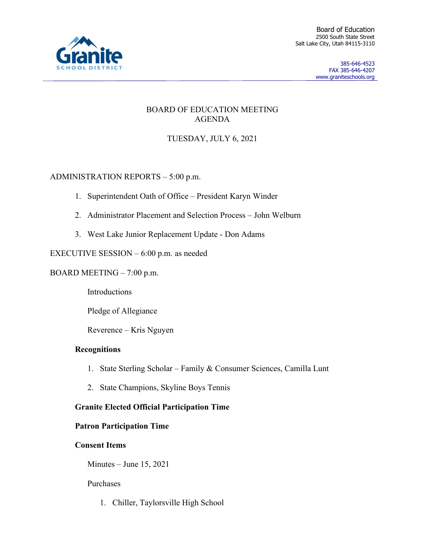

### BOARD OF EDUCATION MEETING AGENDA

# TUESDAY, JULY 6, 2021

## ADMINISTRATION REPORTS – 5:00 p.m.

- 1. Superintendent Oath of Office President Karyn Winder
- 2. Administrator Placement and Selection Process John Welburn
- 3. West Lake Junior Replacement Update Don Adams

### EXECUTIVE SESSION – 6:00 p.m. as needed

BOARD MEETING – 7:00 p.m.

**Introductions** 

Pledge of Allegiance

Reverence – Kris Nguyen

### **Recognitions**

- 1. State Sterling Scholar Family & Consumer Sciences, Camilla Lunt
- 2. State Champions, Skyline Boys Tennis

## **Granite Elected Official Participation Time**

### **Patron Participation Time**

### **Consent Items**

Minutes – June 15, 2021

### Purchases

1. Chiller, Taylorsville High School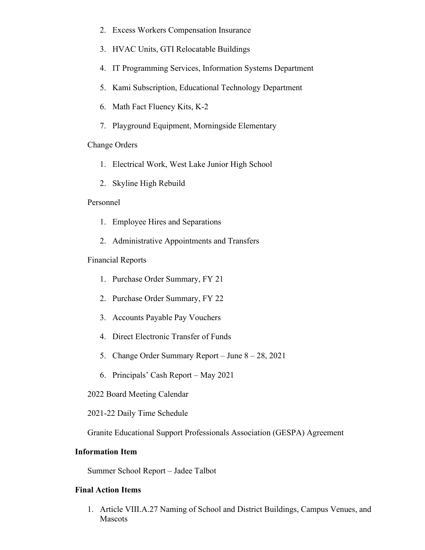- 2. Excess Workers Compensation Insurance
- 3. HVAC Units, GTI Relocatable Buildings
- 4. IT Programming Services, Information Systems Department
- 5. Kami Subscription, Educational Technology Department
- 6. Math Fact Fluency Kits, K-2
- 7. Playground Equipment, Morningside Elementary

#### Change Orders

- 1. Electrical Work, West Lake Junior High School
- 2. Skyline High Rebuild

#### Personnel

- 1. Employee Hires and Separations
- 2. Administrative Appointments and Transfers

#### Financial Reports

- 1. Purchase Order Summary, FY 21
- 2. Purchase Order Summary, FY 22
- 3. Accounts Payable Pay Vouchers
- 4. Direct Electronic Transfer of Funds
- 5. Change Order Summary Report June 8 28, 2021
- 6. Principals' Cash Report May 2021
- 2022 Board Meeting Calendar

2021-22 Daily Time Schedule

Granite Educational Support Professionals Association (GESPA) Agreement

#### **Information Item**

Summer School Report – Jadee Talbot

#### **Final Action Items**

1. Article VIII.A.27 Naming of School and District Buildings, Campus Venues, and Mascots